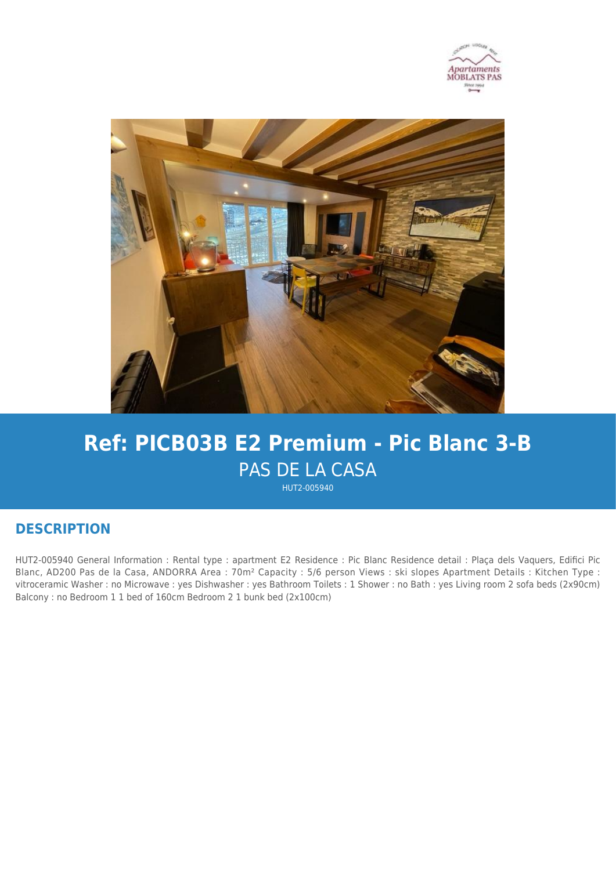



# **Ref: PICB03B E2 Premium - Pic Blanc 3-B** PAS DE LA CASA

HUT2-005940

## **DESCRIPTION**

HUT2-005940 General Information : Rental type : apartment E2 Residence : Pic Blanc Residence detail : Plaça dels Vaquers, Edifici Pic Blanc, AD200 Pas de la Casa, ANDORRA Area : 70m² Capacity : 5/6 person Views : ski slopes Apartment Details : Kitchen Type : vitroceramic Washer : no Microwave : yes Dishwasher : yes Bathroom Toilets : 1 Shower : no Bath : yes Living room 2 sofa beds (2x90cm) Balcony : no Bedroom 1 1 bed of 160cm Bedroom 2 1 bunk bed (2x100cm)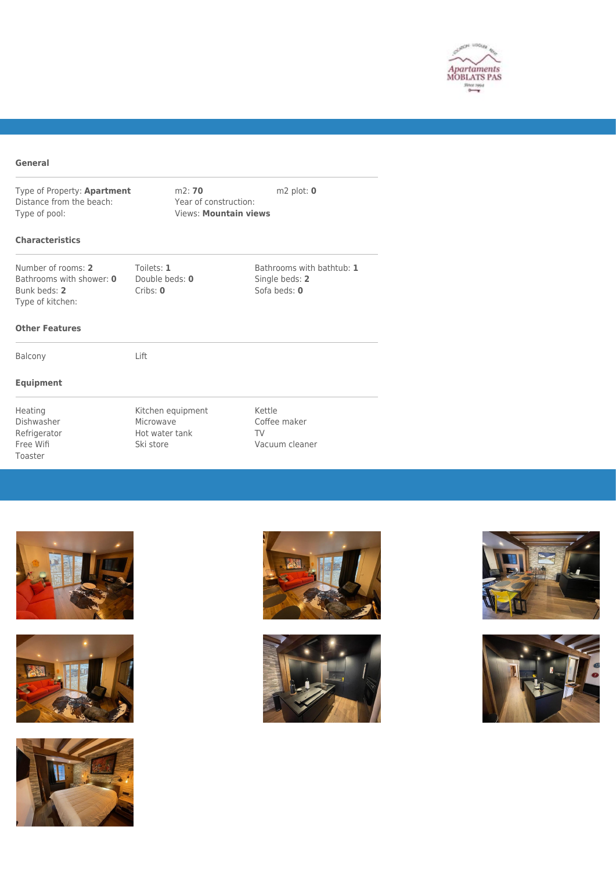

#### **General**

Type of Property: **Apartment** m2: **70** m2 plot: **0** Distance from the beach: Year of construction:<br>Type of pool: Views: **Mountain vie** 

Views: **Mountain views** 

### **Characteristics**

Number of rooms: **2** Toilets: **1** Bathrooms with bathtub: **1** Bathrooms with shower: **0** Double beds: **0** Single beds: **2** Bathrooms with shower: 0 Bunk beds: **2** Cribs: **0** Cribs: **0** Sofa beds: **0** Type of kitchen:

#### **Other Features**

Balcony Lift

### **Equipment**

Toaster

Heating Michen equipment Kettle<br>
Dishwasher Microwave Microwave Coffee Dishwasher Microwave Coffee maker Refrigerator **Hot water tank** TV Free Wifi Ski store Vacuum cleaner